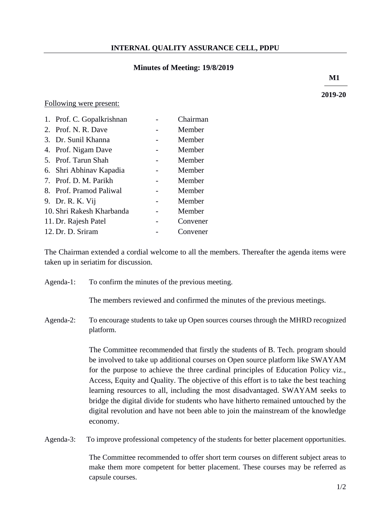## **INTERNAL QUALITY ASSURANCE CELL, PDPU**

### **Minutes of Meeting: 19/8/2019**

**M1**

**2019-20**

#### Following were present:

| 1. Prof. C. Gopalkrishnan | Chairman |
|---------------------------|----------|
| 2. Prof. N. R. Dave       | Member   |
| 3. Dr. Sunil Khanna       | Member   |
| 4. Prof. Nigam Dave       | Member   |
| 5. Prof. Tarun Shah       | Member   |
| 6. Shri Abhinav Kapadia   | Member   |
| 7. Prof. D. M. Parikh     | Member   |
| 8. Prof. Pramod Paliwal   | Member   |
| 9. Dr. R. K. Vij          | Member   |
| 10. Shri Rakesh Kharbanda | Member   |
| 11. Dr. Rajesh Patel      | Convener |
| 12. Dr. D. Sriram         | Convener |

The Chairman extended a cordial welcome to all the members. Thereafter the agenda items were taken up in seriatim for discussion.

Agenda-1: To confirm the minutes of the previous meeting.

The members reviewed and confirmed the minutes of the previous meetings.

Agenda-2: To encourage students to take up Open sources courses through the MHRD recognized platform.

> The Committee recommended that firstly the students of B. Tech. program should be involved to take up additional courses on Open source platform like SWAYAM for the purpose to achieve the three cardinal principles of Education Policy viz., Access, Equity and Quality. The objective of this effort is to take the best teaching learning resources to all, including the most disadvantaged. SWAYAM seeks to bridge the digital divide for students who have hitherto remained untouched by the digital revolution and have not been able to join the mainstream of the knowledge economy.

Agenda-3: To improve professional competency of the students for better placement opportunities.

The Committee recommended to offer short term courses on different subject areas to make them more competent for better placement. These courses may be referred as capsule courses.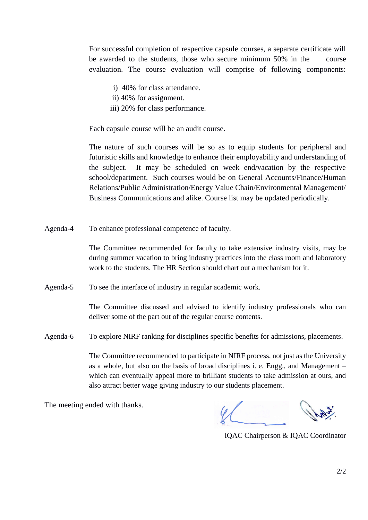For successful completion of respective capsule courses, a separate certificate will be awarded to the students, those who secure minimum 50% in the course evaluation. The course evaluation will comprise of following components:

- i) 40% for class attendance.
- ii) 40% for assignment.
- iii) 20% for class performance.

Each capsule course will be an audit course.

The nature of such courses will be so as to equip students for peripheral and futuristic skills and knowledge to enhance their employability and understanding of the subject. It may be scheduled on week end/vacation by the respective school/department. Such courses would be on General Accounts/Finance/Human Relations/Public Administration/Energy Value Chain/Environmental Management/ Business Communications and alike. Course list may be updated periodically.

Agenda-4 To enhance professional competence of faculty.

The Committee recommended for faculty to take extensive industry visits, may be during summer vacation to bring industry practices into the class room and laboratory work to the students. The HR Section should chart out a mechanism for it.

Agenda-5 To see the interface of industry in regular academic work.

The Committee discussed and advised to identify industry professionals who can deliver some of the part out of the regular course contents.

Agenda-6 To explore NIRF ranking for disciplines specific benefits for admissions, placements.

The Committee recommended to participate in NIRF process, not just as the University as a whole, but also on the basis of broad disciplines i. e. Engg., and Management – which can eventually appeal more to brilliant students to take admission at ours, and also attract better wage giving industry to our students placement.

IQAC Chairperson & IQAC Coordinator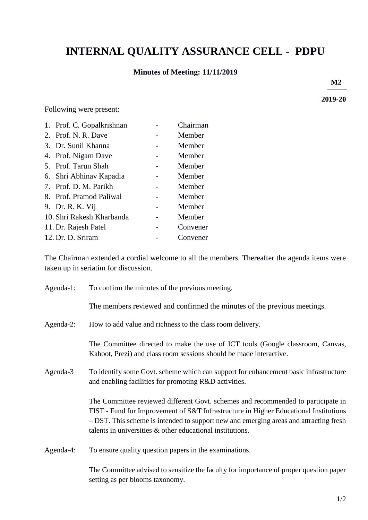# **INTERNAL QUALITY ASSURANCE CELL - PDPU**

# **Minutes of Meeting: 11/11/2019**

**M2**

**2019-20** 

#### Following were present:

| 1. Prof. C. Gopalkrishnan | Chairman |
|---------------------------|----------|
| 2. Prof. N. R. Dave       | Member   |
| 3. Dr. Sunil Khanna       | Member   |
| 4. Prof. Nigam Dave       | Member   |
| 5. Prof. Tarun Shah       | Member   |
| 6. Shri Abhinav Kapadia   | Member   |
| 7. Prof. D. M. Parikh     | Member   |
| 8. Prof. Pramod Paliwal   | Member   |
| 9. Dr. R. K. Vij          | Member   |
| 10. Shri Rakesh Kharbanda | Member   |
| 11. Dr. Rajesh Patel      | Convener |
| 12. Dr. D. Sriram         | Convener |

The Chairman extended a cordial welcome to all the members. Thereafter the agenda items were taken up in seriatim for discussion.

| Agenda-1: | To confirm the minutes of the previous meeting.                                                                                                                                                                                                                                                                                   |
|-----------|-----------------------------------------------------------------------------------------------------------------------------------------------------------------------------------------------------------------------------------------------------------------------------------------------------------------------------------|
|           | The members reviewed and confirmed the minutes of the previous meetings.                                                                                                                                                                                                                                                          |
| Agenda-2: | How to add value and richness to the class room delivery.                                                                                                                                                                                                                                                                         |
|           | The Committee directed to make the use of ICT tools (Google classroom, Canvas,<br>Kahoot, Prezi) and class room sessions should be made interactive.                                                                                                                                                                              |
| Agenda-3  | To identify some Govt. scheme which can support for enhancement basic infrastructure<br>and enabling facilities for promoting R&D activities.                                                                                                                                                                                     |
|           | The Committee reviewed different Govt. schemes and recommended to participate in<br>FIST - Fund for Improvement of S&T Infrastructure in Higher Educational Institutions<br>- DST. This scheme is intended to support new and emerging areas and attracting fresh<br>talents in universities $\&$ other educational institutions. |
| Agenda-4: | To ensure quality question papers in the examinations.                                                                                                                                                                                                                                                                            |

The Committee advised to sensitize the faculty for importance of proper question paper setting as per blooms taxonomy.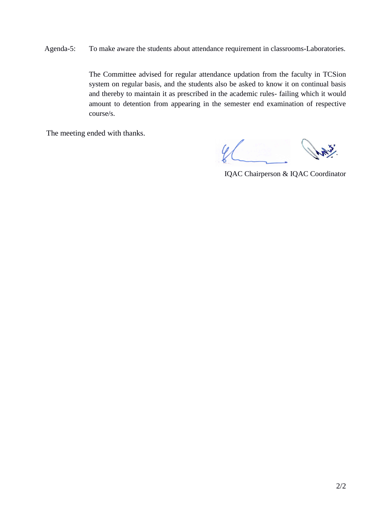Agenda-5: To make aware the students about attendance requirement in classrooms-Laboratories.

The Committee advised for regular attendance updation from the faculty in TCSion system on regular basis, and the students also be asked to know it on continual basis and thereby to maintain it as prescribed in the academic rules- failing which it would amount to detention from appearing in the semester end examination of respective course/s.

IQAC Chairperson & IQAC Coordinator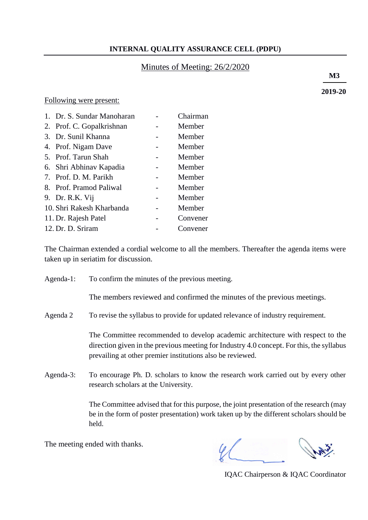## **INTERNAL QUALITY ASSURANCE CELL (PDPU)**

### Minutes of Meeting: 26/2/2020

 **M3**

**2019-20**

Following were present:

| 1. Dr. S. Sundar Manoharan | Chairman |
|----------------------------|----------|
| 2. Prof. C. Gopalkrishnan  | Member   |
| 3. Dr. Sunil Khanna        | Member   |
| 4. Prof. Nigam Dave        | Member   |
| 5. Prof. Tarun Shah        | Member   |
| 6. Shri Abhinav Kapadia    | Member   |
| 7. Prof. D. M. Parikh      | Member   |
| 8. Prof. Pramod Paliwal    | Member   |
| 9. Dr. R.K. Vij            | Member   |
| 10. Shri Rakesh Kharbanda  | Member   |
| 11. Dr. Rajesh Patel       | Convener |
| 12. Dr. D. Sriram          | Convener |
|                            |          |

The Chairman extended a cordial welcome to all the members. Thereafter the agenda items were taken up in seriatim for discussion.

Agenda-1: To confirm the minutes of the previous meeting.

The members reviewed and confirmed the minutes of the previous meetings.

Agenda 2 To revise the syllabus to provide for updated relevance of industry requirement.

The Committee recommended to develop academic architecture with respect to the direction given in the previous meeting for Industry 4.0 concept. For this, the syllabus prevailing at other premier institutions also be reviewed.

Agenda-3: To encourage Ph. D. scholars to know the research work carried out by every other research scholars at the University.

> The Committee advised that for this purpose, the joint presentation of the research (may be in the form of poster presentation) work taken up by the different scholars should be held.

IQAC Chairperson & IQAC Coordinator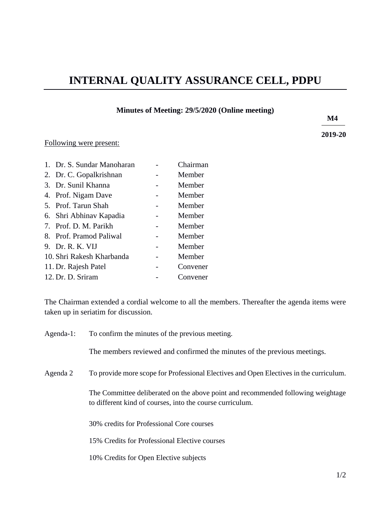# **INTERNAL QUALITY ASSURANCE CELL, PDPU**

#### **Minutes of Meeting: 29/5/2020 (Online meeting)**

**2019-20**

## Following were present:

| 1. Dr. S. Sundar Manoharan | Chairman |
|----------------------------|----------|
| 2. Dr. C. Gopalkrishnan    | Member   |
| 3. Dr. Sunil Khanna        | Member   |
| 4. Prof. Nigam Dave        | Member   |
| 5. Prof. Tarun Shah        | Member   |
| 6. Shri Abhinav Kapadia    | Member   |
| 7. Prof. D. M. Parikh      | Member   |
| 8. Prof. Pramod Paliwal    | Member   |
| 9. Dr. R. K. VIJ           | Member   |
| 10. Shri Rakesh Kharbanda  | Member   |
| 11. Dr. Rajesh Patel       | Convener |
| 12. Dr. D. Sriram          | Convener |
|                            |          |

The Chairman extended a cordial welcome to all the members. Thereafter the agenda items were taken up in seriatim for discussion.

Agenda-1: To confirm the minutes of the previous meeting.

The members reviewed and confirmed the minutes of the previous meetings.

Agenda 2 To provide more scope for Professional Electives and Open Electives in the curriculum.

The Committee deliberated on the above point and recommended following weightage to different kind of courses, into the course curriculum.

30% credits for Professional Core courses

15% Credits for Professional Elective courses

10% Credits for Open Elective subjects